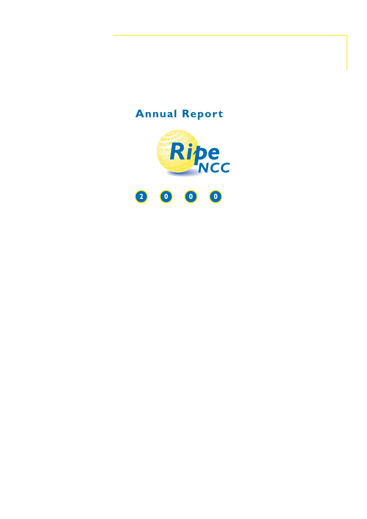# **Annual Report**

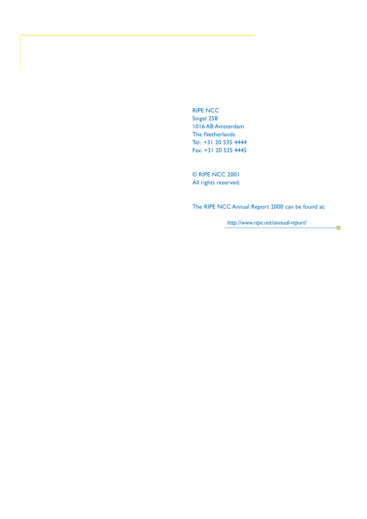RIPE NCC Singel 258 1016 AB Amsterdam The Netherlands Tel.: +31 20 535 4444 Fax: +31 20 535 4445

© RIPE NCC 2001 All rights reserved.

The RIPE NCC Annual Report 2000 can be found at:

*http://www.ripe.net/annual-report/*

 $\overline{\bullet}$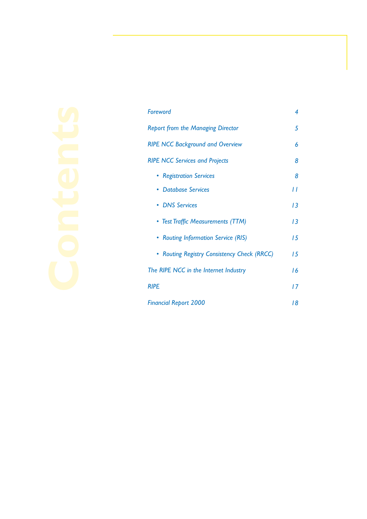| Foreword                                    | 4  |
|---------------------------------------------|----|
| <b>Report from the Managing Director</b>    | 5  |
| <b>RIPE NCC Background and Overview</b>     | 6  |
| <b>RIPE NCC Services and Projects</b>       | 8  |
| • Registration Services                     | 8  |
| <b>Database Services</b>                    | 11 |
| • DNS Services                              | 13 |
| • Test Traffic Measurements (TTM)           | 13 |
| • Routing Information Service (RIS)         | 15 |
| • Routing Registry Consistency Check (RRCC) | 15 |
| The RIPE NCC in the Internet Industry       | 16 |
| <b>RIPE</b>                                 | 17 |
| <b>Financial Report 2000</b>                | 18 |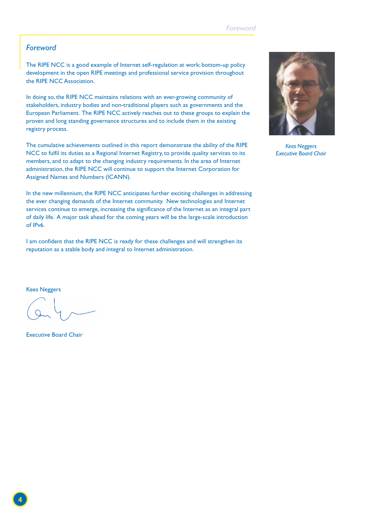#### *Foreword*

The RIPE NCC is a good example of Internet self-regulation at work: bottom-up policy development in the open RIPE meetings and professional service provision throughout the RIPE NCC Association.

In doing so, the RIPE NCC maintains relations with an ever-growing community of stakeholders, industry bodies and non-traditional players such as governments and the European Parliament. The RIPE NCC actively reaches out to these groups to explain the proven and long standing governance structures and to include them in the existing registry process.

The cumulative achievements outlined in this report demonstrate the ability of the RIPE NCC to fulfil its duties as a Regional Internet Registry, to provide quality services to its members, and to adapt to the changing industry requirements. In the area of Internet administration, the RIPE NCC will continue to support the Internet Corporation for Assigned Names and Numbers (ICANN).

In the new millennium, the RIPE NCC anticipates further exciting challenges in addressing the ever changing demands of the Internet community. New technologies and Internet services continue to emerge, increasing the significance of the Internet as an integral part of daily life. A major task ahead for the coming years will be the large-scale introduction of IPv6.

I am confident that the RIPE NCC is ready for these challenges and will strengthen its reputation as a stable body and integral to Internet administration.



*Kees Neggers Executive Board Chair*

Kees Neggers

Executive Board Chair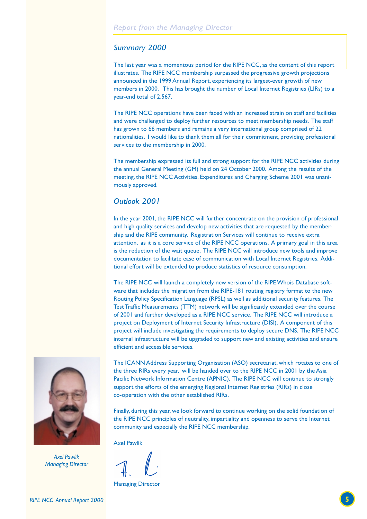#### *Summary 2000*

The last year was a momentous period for the RIPE NCC, as the content of this report illustrates. The RIPE NCC membership surpassed the progressive growth projections announced in the 1999 Annual Report, experiencing its largest-ever growth of new members in 2000. This has brought the number of Local Internet Registries (LIRs) to a year-end total of 2,567.

The RIPE NCC operations have been faced with an increased strain on staff and facilities and were challenged to deploy further resources to meet membership needs. The staff has grown to 66 members and remains a very international group comprised of 22 nationalities. I would like to thank them all for their commitment, providing professional services to the membership in 2000.

The membership expressed its full and strong support for the RIPE NCC activities during the annual General Meeting (GM) held on 24 October 2000. Among the results of the meeting, the RIPE NCC Activities, Expenditures and Charging Scheme 2001 was unanimously approved.

#### *Outlook 2001*

In the year 2001, the RIPE NCC will further concentrate on the provision of professional and high quality services and develop new activities that are requested by the membership and the RIPE community. Registration Services will continue to receive extra attention, as it is a core service of the RIPE NCC operations. A primary goal in this area is the reduction of the wait queue. The RIPE NCC will introduce new tools and improve documentation to facilitate ease of communication with Local Internet Registries. Additional effort will be extended to produce statistics of resource consumption.

The RIPE NCC will launch a completely new version of the RIPE Whois Database software that includes the migration from the RIPE-181 routing registry format to the new Routing Policy Specification Language (RPSL) as well as additional security features. The Test Traffic Measurements (TTM) network will be significantly extended over the course of 2001 and further developed as a RIPE NCC service. The RIPE NCC will introduce a project on Deployment of Internet Security Infrastructure (DISI). A component of this project will include investigating the requirements to deploy secure DNS. The RIPE NCC internal infrastructure will be upgraded to support new and existing activities and ensure efficient and accessible services.



*Axel Pawlik Managing Director*

The ICANN Address Supporting Organisation (ASO) secretariat, which rotates to one of the three RIRs every year, will be handed over to the RIPE NCC in 2001 by the Asia Pacific Network Information Centre (APNIC). The RIPE NCC will continue to strongly support the efforts of the emerging Regional Internet Registries (RIRs) in close co-operation with the other established RIRs.

Finally, during this year, we look forward to continue working on the solid foundation of the RIPE NCC principles of neutrality, impartiality and openness to serve the Internet community and especially the RIPE NCC membership.

Axel Pawlik

Managing Director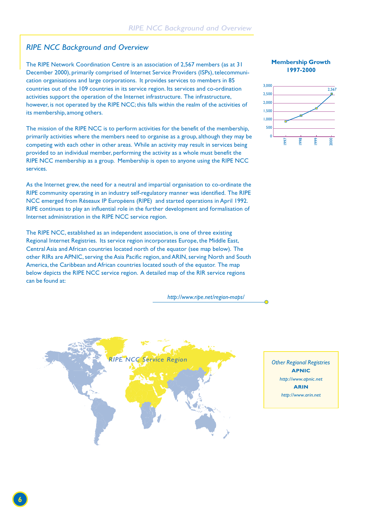#### *RIPE NCC Background and Overview*

The RIPE Network Coordination Centre is an association of 2,567 members (as at 31 December 2000), primarily comprised of Internet Service Providers (ISPs), telecommunication organisations and large corporations. It provides services to members in 85 countries out of the 109 countries in its service region. Its services and co-ordination activities support the operation of the Internet infrastructure. The infrastructure, however, is not operated by the RIPE NCC; this falls within the realm of the activities of its membership, among others.

The mission of the RIPE NCC is to perform activities for the benefit of the membership, primarily activities where the members need to organise as a group, although they may be competing with each other in other areas. While an activity may result in services being provided to an individual member, performing the activity as a whole must benefit the RIPE NCC membership as a group. Membership is open to anyone using the RIPE NCC services.

As the Internet grew, the need for a neutral and impartial organisation to co-ordinate the RIPE community operating in an industry self-regulatory manner was identified. The RIPE NCC emerged from Réseaux IP Européens (RIPE) and started operations in April 1992. RIPE continues to play an influential role in the further development and formalisation of Internet administration in the RIPE NCC service region.

The RIPE NCC, established as an independent association, is one of three existing Regional Internet Registries. Its service region incorporates Europe, the Middle East, Central Asia and African countries located north of the equator (see map below). The other RIRs are APNIC, serving the Asia Pacific region, and ARIN, serving North and South America, the Caribbean and African countries located south of the equator. The map below depicts the RIPE NCC service region. A detailed map of the RIR service regions can be found at:

 *http://www.ripe.net/region-maps/*







*Other Regional Registries* **APNIC** *http://www.apnic.net* **ARIN** *http://www.arin.net*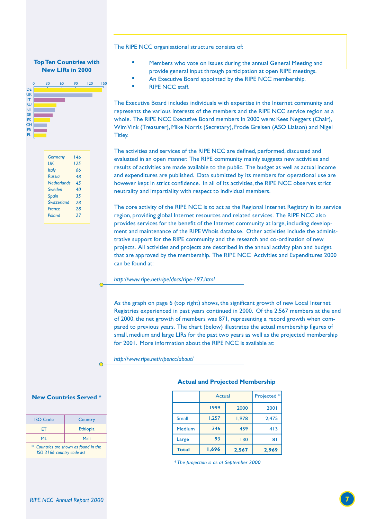#### The RIPE NCC organisational structure consists of:

#### **Top Ten Countries with New LIRs in 2000**



| <b>Germany</b>     | 146 |
|--------------------|-----|
| UК                 | 125 |
| <b>Italy</b>       | 66  |
| <b>Russia</b>      | 48  |
| <b>Netherlands</b> | 45  |
| Sweden             | 40  |
| <b>Spain</b>       | 35  |
| Switzerland        | 28  |
| <b>France</b>      | 28  |
| Poland             | 27  |
|                    |     |

 $\sqrt{ }$ 

 $\subset$ 

- Members who vote on issues during the annual General Meeting and provide general input through participation at open RIPE meetings.
- An Executive Board appointed by the RIPE NCC membership.
- RIPE NCC staff.

The Executive Board includes individuals with expertise in the Internet community and represents the various interests of the members and the RIPE NCC service region as a whole. The RIPE NCC Executive Board members in 2000 were: Kees Neggers (Chair), Wim Vink (Treasurer), Mike Norris (Secretary), Frode Greisen (ASO Liaison) and Nigel Titley.

The activities and services of the RIPE NCC are defined, performed, discussed and evaluated in an open manner. The RIPE community mainly suggests new activities and results of activities are made available to the public. The budget as well as actual income and expenditures are published. Data submitted by its members for operational use are however kept in strict confidence. In all of its activities, the RIPE NCC observes strict neutrality and impartiality with respect to individual members.

The core activity of the RIPE NCC is to act as the Regional Internet Registry in its service region, providing global Internet resources and related services. The RIPE NCC also provides services for the benefit of the Internet community at large, including development and maintenance of the RIPE Whois database. Other activities include the administrative support for the RIPE community and the research and co-ordination of new projects. All activities and projects are described in the annual activity plan and budget that are approved by the membership. The RIPE NCC Activities and Expenditures 2000 can be found at:

*http://www.ripe.net/ripe/docs/ripe-197.html*

As the graph on page 6 (top right) shows, the significant growth of new Local Internet Registries experienced in past years continued in 2000. Of the 2,567 members at the end of 2000, the net growth of members was 871, representing a record growth when compared to previous years. The chart (below) illustrates the actual membership figures of small, medium and large LIRs for the past two years as well as the projected membership for 2001. More information about the RIPE NCC is available at:

*http://www.ripe.net/ripencc/about/*

#### **New Countries Served \***

| <b>ISO Code</b> | Country  |
|-----------------|----------|
| FT              | Ethiopia |
| MI              | Mali     |

 *\* Countries are shown as found in the ISO 3166 country code list*

#### **Actual and Projected Membership**

| <b>Total</b> | 1,696        | 2,567 | 2,969       |
|--------------|--------------|-------|-------------|
| Large        | 93           | 130   | 81          |
| Medium       | 346          | 459   | 413         |
| <b>Small</b> | 1,257        | 1,978 | 2,475       |
|              | 1999<br>2000 |       | 2001        |
|              | Actual       |       | Projected * |

*\* The projection is as at September 2000*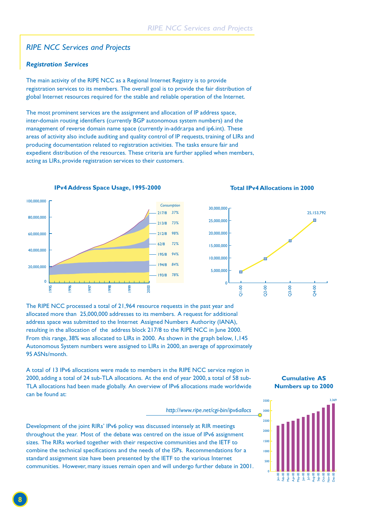#### *RIPE NCC Services and Projects*

#### *Registration Services*

The main activity of the RIPE NCC as a Regional Internet Registry is to provide registration services to its members. The overall goal is to provide the fair distribution of global Internet resources required for the stable and reliable operation of the Internet.

The most prominent services are the assignment and allocation of IP address space, inter-domain routing identifiers (currently BGP autonomous system numbers) and the management of reverse domain name space (currently in-addr.arpa and ip6.int). These areas of activity also include auditing and quality control of IP requests, training of LIRs and producing documentation related to registration activities. The tasks ensure fair and expedient distribution of the resources. These criteria are further applied when members, acting as LIRs, provide registration services to their customers.



**IPv4 Address Space Usage, 1995-2000 Total IPv4 Allocations in 2000**



The RIPE NCC processed a total of 21,964 resource requests in the past year and allocated more than 25,000,000 addresses to its members. A request for additional address space was submitted to the Internet Assigned Numbers Authority (IANA), resulting in the allocation of the address block 217/8 to the RIPE NCC in June 2000. From this range, 38% was allocated to LIRs in 2000. As shown in the graph below, 1,145 Autonomous System numbers were assigned to LIRs in 2000, an average of approximately 95 ASNs/month.

A total of 13 IPv6 allocations were made to members in the RIPE NCC service region in 2000, adding a total of 24 sub-TLA allocations. At the end of year 2000, a total of 58 sub-TLA allocations had been made globally. An overview of IPv6 allocations made worldwide can be found at:

#### *http://www.ripe.net/cgi-bin/ipv6allocs*

Development of the joint RIRs' IPv6 policy was discussed intensely at RIR meetings throughout the year. Most of the debate was centred on the issue of IPv6 assignment sizes. The RIRs worked together with their respective communities and the IETF to combine the technical specifications and the needs of the ISPs. Recommendations for a standard assignment size have been presented by the IETF to the various Internet communities. However, many issues remain open and will undergo further debate in 2001.

**Cumulative AS Numbers up to 2000**

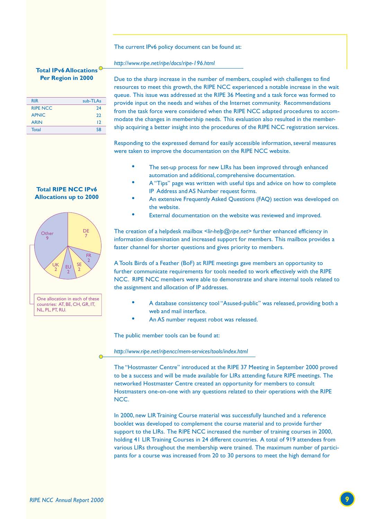The current IPv6 policy document can be found at:

#### *http://www.ripe.net/ripe/docs/ripe-196.html*

#### **Total IPv6 Allocations Per Region in 2000**

| <b>RIR</b>      | sub-TLAs        |
|-----------------|-----------------|
| <b>RIPE NCC</b> | 74              |
| <b>APNIC</b>    | 22              |
| <b>ARIN</b>     | $\overline{12}$ |
| <b>Total</b>    | 58              |
|                 |                 |

#### **Total RIPE NCC IPv6 Allocations up to 2000**



Due to the sharp increase in the number of members, coupled with challenges to find resources to meet this growth, the RIPE NCC experienced a notable increase in the wait queue. This issue was addressed at the RIPE 36 Meeting and a task force was formed to provide input on the needs and wishes of the Internet community. Recommendations from the task force were considered when the RIPE NCC adapted procedures to accommodate the changes in membership needs. This evaluation also resulted in the membership acquiring a better insight into the procedures of the RIPE NCC registration services.

Responding to the expressed demand for easily accessible information, several measures were taken to improve the documentation on the RIPE NCC website.

- The set-up process for new LIRs has been improved through enhanced automation and additional, comprehensive documentation.
- A "Tips" page was written with useful tips and advice on how to complete IP Address and AS Number request forms.
- An extensive Frequently Asked Questions (FAQ) section was developed on the website.
- External documentation on the website was reviewed and improved.

The creation of a helpdesk mailbox <*lir-help@ripe.net>* further enhanced efficiency in information dissemination and increased support for members. This mailbox provides a faster channel for shorter questions and gives priority to members.

A Tools Birds of a Feather (BoF) at RIPE meetings gave members an opportunity to further communicate requirements for tools needed to work effectively with the RIPE NCC. RIPE NCC members were able to demonstrate and share internal tools related to the assignment and allocation of IP addresses.

- A database consistency tool "Asused-public" was released, providing both a web and mail interface.
- An AS number request robot was released.

The public member tools can be found at:

*http://www.ripe.net/ripencc/mem-services/tools/index.html*

The "Hostmaster Centre" introduced at the RIPE 37 Meeting in September 2000 proved to be a success and will be made available for LIRs attending future RIPE meetings. The networked Hostmaster Centre created an opportunity for members to consult Hostmasters one-on-one with any questions related to their operations with the RIPE NCC.

In 2000, new LIR Training Course material was successfully launched and a reference booklet was developed to complement the course material and to provide further support to the LIRs. The RIPE NCC increased the number of training courses in 2000, holding 41 LIR Training Courses in 24 different countries. A total of 919 attendees from various LIRs throughout the membership were trained. The maximum number of participants for a course was increased from 20 to 30 persons to meet the high demand for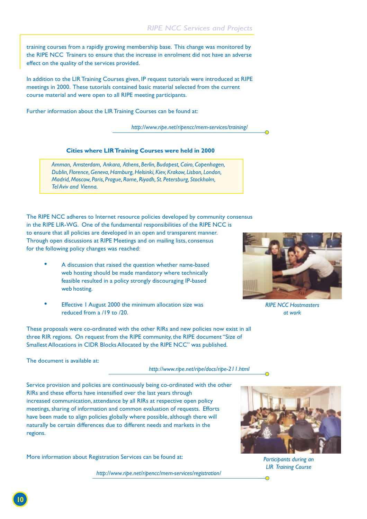training courses from a rapidly growing membership base. This change was monitored by the RIPE NCC Trainers to ensure that the increase in enrolment did not have an adverse effect on the quality of the services provided.

In addition to the LIR Training Courses given, IP request tutorials were introduced at RIPE meetings in 2000. These tutorials contained basic material selected from the current course material and were open to all RIPE meeting participants.

Further information about the LIR Training Courses can be found at:

*http://www.ripe.net/ripencc/mem-services/training/*

#### **Cities where LIR Training Courses were held in 2000**

*Amman, Amsterdam, Ankara, Athens, Berlin, Budapest, Cairo, Copenhagen, Dublin, Florence, Geneva, Hamburg, Helsinki, Kiev, Krakow, Lisbon, London, Madrid, Moscow, Paris, Prague, Rome, Riyadh, St. Petersburg, Stockholm, Tel Aviv and Vienna.*

The RIPE NCC adheres to Internet resource policies developed by community consensus

in the RIPE LIR-WG. One of the fundamental responsibilities of the RIPE NCC is to ensure that all policies are developed in an open and transparent manner. Through open discussions at RIPE Meetings and on mailing lists, consensus for the following policy changes was reached:

- A discussion that raised the question whether name-based web hosting should be made mandatory where technically feasible resulted in a policy strongly discouraging IP-based web hosting.
- Effective 1 August 2000 the minimum allocation size was reduced from a /19 to /20.

These proposals were co-ordinated with the other RIRs and new policies now exist in all three RIR regions. On request from the RIPE community, the RIPE document "Size of Smallest Allocations in CIDR Blocks Allocated by the RIPE NCC" was published.



*RIPE NCC Hostmasters at work*

The document is available at:

*http://www.ripe.net/ripe/docs/ripe-211.html*

Service provision and policies are continuously being co-ordinated with the other RIRs and these efforts have intensified over the last years through increased communication, attendance by all RIRs at respective open policy meetings, sharing of information and common evaluation of requests. Efforts have been made to align policies globally where possible, although there will naturally be certain differences due to different needs and markets in the regions.

More information about Registration Services can be found at:

*http://www.ripe.net/ripencc/mem-services/registration/*



*Participants during an LIR Training Course*

 $\bigcap$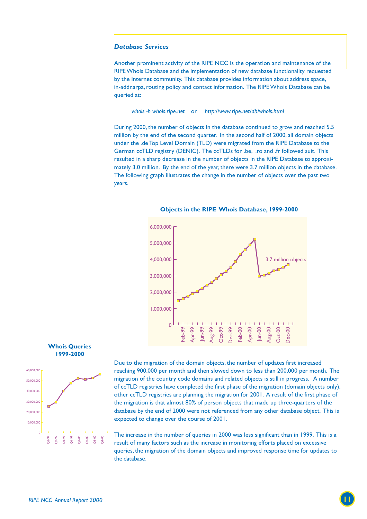#### *Database Services*

Another prominent activity of the RIPE NCC is the operation and maintenance of the RIPE Whois Database and the implementation of new database functionality requested by the Internet community. This database provides information about address space, in-addr.arpa, routing policy and contact information. The RIPE Whois Database can be queried at:

*whois -h whois.ripe.net* or *http://www.ripe.net/db/whois.html*

During 2000, the number of objects in the database continued to grow and reached 5.5 million by the end of the second quarter. In the second half of 2000, all domain objects under the .de Top Level Domain (TLD) were migrated from the RIPE Database to the German ccTLD registry (DENIC). The ccTLDs for .be, .ro and .fr followed suit. This resulted in a sharp decrease in the number of objects in the RIPE Database to approximately 3.0 million. By the end of the year, there were 3.7 million objects in the database. The following graph illustrates the change in the number of objects over the past two years.



**Objects in the RIPE Whois Database, 1999-2000**





Due to the migration of the domain objects, the number of updates first increased reaching 900,000 per month and then slowed down to less than 200,000 per month. The migration of the country code domains and related objects is still in progress. A number of ccTLD registries have completed the first phase of the migration (domain objects only), other ccTLD registries are planning the migration for 2001. A result of the first phase of the migration is that almost 80% of person objects that made up three-quarters of the database by the end of 2000 were not referenced from any other database object. This is expected to change over the course of 2001.

*RIPE NCC Annual Report 2000*<br> *RIPE NCC Annual Report 2000*<br> **111**  $\frac{1}{2}$   $\frac{2}{3}$   $\frac{2}{3}$   $\frac{2}{3}$   $\frac{2}{3}$   $\frac{2}{3}$   $\frac{2}{3}$  result of many factors such as the increase in monitoring efforts placed on excessi The increase in the number of queries in 2000 was less significant than in 1999. This is a result of many factors such as the increase in monitoring efforts placed on excessive queries, the migration of the domain objects and improved response time for updates to the database.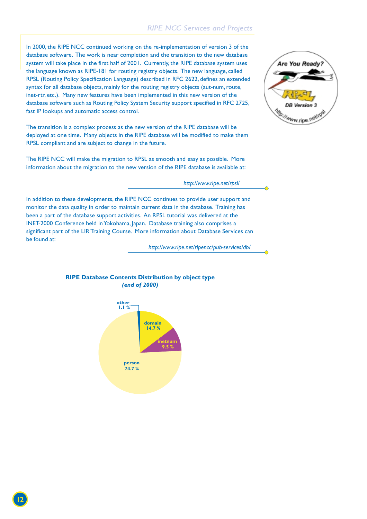#### *RIPE NCC Services and Projects*

In 2000, the RIPE NCC continued working on the re-implementation of version 3 of the database software. The work is near completion and the transition to the new database system will take place in the first half of 2001. Currently, the RIPE database system uses the language known as RIPE-181 for routing registry objects. The new language, called RPSL (Routing Policy Specification Language) described in RFC 2622, defines an extended syntax for all database objects, mainly for the routing registry objects (aut-num, route, inet-rtr, etc.). Many new features have been implemented in this new version of the database software such as Routing Policy System Security support specified in RFC 2725, fast IP lookups and automatic access control.

The transition is a complex process as the new version of the RIPE database will be deployed at one time. Many objects in the RIPE database will be modified to make them RPSL compliant and are subject to change in the future.

The RIPE NCC will make the migration to RPSL as smooth and easy as possible. More information about the migration to the new version of the RIPE database is available at:

#### *http://www.ripe.net/rpsl/*

In addition to these developments, the RIPE NCC continues to provide user support and monitor the data quality in order to maintain current data in the database. Training has been a part of the database support activities. An RPSL tutorial was delivered at the INET-2000 Conference held in Yokohama, Japan. Database training also comprises a significant part of the LIR Training Course. More information about Database Services can be found at:

*http://www.ripe.net/ripencc/pub-services/db/*

#### **RIPE Database Contents Distribution by object type** *(end of 2000)*



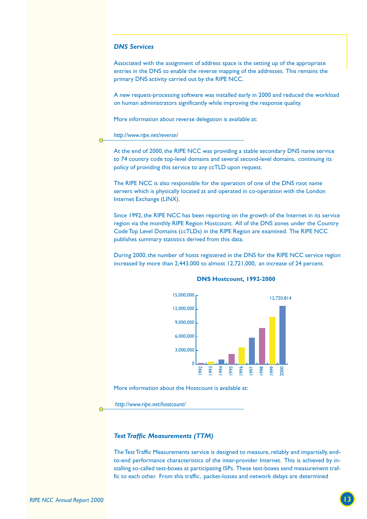#### *DNS Services*

Associated with the assignment of address space is the setting up of the appropriate entries in the DNS to enable the reverse mapping of the addresses. This remains the primary DNS activity carried out by the RIPE NCC.

A new request-processing software was installed early in 2000 and reduced the workload on human administrators significantly while improving the response quality.

More information about reverse delegation is available at:

#### *http://www.ripe.net/reverse/*

At the end of 2000, the RIPE NCC was providing a stable secondary DNS name service to 74 country code top-level domains and several second-level domains, continuing its policy of providing this service to any ccTLD upon request.

The RIPE NCC is also responsible for the operation of one of the DNS root name servers which is physically located at and operated in co-operation with the London Internet Exchange (LINX).

Since 1992, the RIPE NCC has been reporting on the growth of the Internet in its service region via the monthly RIPE Region Hostcount. All of the DNS zones under the Country Code Top Level Domains (ccTLDs) in the RIPE Region are examined. The RIPE NCC publishes summary statistics derived from this data.

During 2000, the number of hosts registered in the DNS for the RIPE NCC service region increased by more than 2,443,000 to almost 12,721,000, an increase of 24 percent.



#### **DNS Hostcount, 1992-2000**

More information about the Hostcount is available at:

 *http://www.ripe.net/hostcount/*

#### *Test Traffic Measurements (TTM)*

The Test Traffic Measurements service is designed to measure, reliably and impartially, endto-end performance characteristics of the inter-provider Internet. This is achieved by installing so-called test-boxes at participating ISPs. These test-boxes send measurement traffic to each other. From this traffic, packet-losses and network delays are determined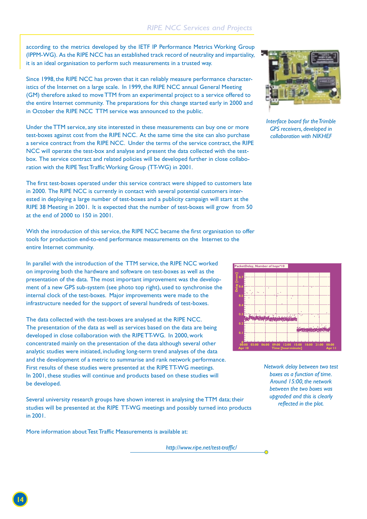according to the metrics developed by the IETF IP Performance Metrics Working Group (IPPM-WG). As the RIPE NCC has an established track record of neutrality and impartiality, it is an ideal organisation to perform such measurements in a trusted way.

Since 1998, the RIPE NCC has proven that it can reliably measure performance characteristics of the Internet on a large scale. In 1999, the RIPE NCC annual General Meeting (GM) therefore asked to move TTM from an experimental project to a service offered to the entire Internet community. The preparations for this change started early in 2000 and in October the RIPE NCC TTM service was announced to the public.

Under the TTM service, any site interested in these measurements can buy one or more test-boxes against cost from the RIPE NCC. At the same time the site can also purchase a service contract from the RIPE NCC. Under the terms of the service contract, the RIPE NCC will operate the test-box and analyse and present the data collected with the testbox. The service contract and related policies will be developed further in close collaboration with the RIPE Test Traffic Working Group (TT-WG) in 2001.

The first test-boxes operated under this service contract were shipped to customers late in 2000. The RIPE NCC is currently in contact with several potential customers interested in deploying a large number of test-boxes and a publicity campaign will start at the RIPE 38 Meeting in 2001. It is expected that the number of test-boxes will grow from 50 at the end of 2000 to 150 in 2001.

With the introduction of this service, the RIPE NCC became the first organisation to offer tools for production end-to-end performance measurements on the Internet to the entire Internet community.

In parallel with the introduction of the TTM service, the RIPE NCC worked on improving both the hardware and software on test-boxes as well as the presentation of the data. The most important improvement was the development of a new GPS sub-system (see photo top right), used to synchronise the internal clock of the test-boxes. Major improvements were made to the infrastructure needed for the support of several hundreds of test-boxes.

The data collected with the test-boxes are analysed at the RIPE NCC. The presentation of the data as well as services based on the data are being developed in close collaboration with the RIPE TT-WG. In 2000, work concentrated mainly on the presentation of the data although several other analytic studies were initiated, including long-term trend analyses of the data and the development of a metric to summarise and rank network performance. First results of these studies were presented at the RIPE TT-WG meetings. In 2001, these studies will continue and products based on these studies will be developed.

Several university research groups have shown interest in analysing the TTM data; their studies will be presented at the RIPE TT-WG meetings and possibly turned into products in 2001.

More information about Test Traffic Measurements is available at:

*http://www.ripe.net/test-traffic/*



*Interface board for the Trimble GPS receivers, developed in collaboration with NIKHEF*



*Network delay between two test boxes as a function of time. Around 15:00, the network between the two boxes was upgraded and this is clearly reflected in the plot.*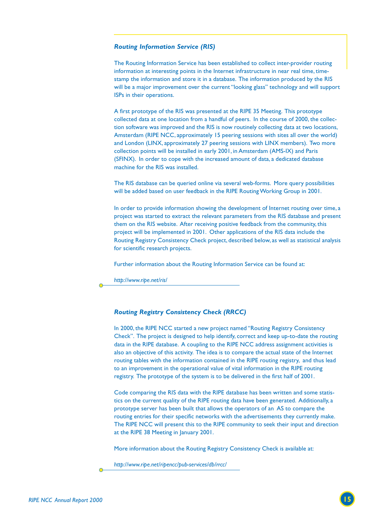#### *Routing Information Service (RIS)*

The Routing Information Service has been established to collect inter-provider routing information at interesting points in the Internet infrastructure in near real time, timestamp the information and store it in a database. The information produced by the RIS will be a major improvement over the current "looking glass" technology and will support ISPs in their operations.

A first prototype of the RIS was presented at the RIPE 35 Meeting. This prototype collected data at one location from a handful of peers. In the course of 2000, the collection software was improved and the RIS is now routinely collecting data at two locations, Amsterdam (RIPE NCC, approximately 15 peering sessions with sites all over the world) and London (LINX, approximately 27 peering sessions with LINX members). Two more collection points will be installed in early 2001, in Amsterdam (AMS-IX) and Paris (SFINX). In order to cope with the increased amount of data, a dedicated database machine for the RIS was installed.

The RIS database can be queried online via several web-forms. More query possibilities will be added based on user feedback in the RIPE Routing Working Group in 2001.

In order to provide information showing the development of Internet routing over time, a project was started to extract the relevant parameters from the RIS database and present them on the RIS website. After receiving positive feedback from the community, this project will be implemented in 2001. Other applications of the RIS data include the Routing Registry Consistency Check project, described below, as well as statistical analysis for scientific research projects.

Further information about the Routing Information Service can be found at:

*http://www.ripe.net/ris/*

#### *Routing Registry Consistency Check (RRCC)*

In 2000, the RIPE NCC started a new project named "Routing Registry Consistency Check". The project is designed to help identify, correct and keep up-to-date the routing data in the RIPE database. A coupling to the RIPE NCC address assignment activities is also an objective of this activity. The idea is to compare the actual state of the Internet routing tables with the information contained in the RIPE routing registry, and thus lead to an improvement in the operational value of vital information in the RIPE routing registry. The prototype of the system is to be delivered in the first half of 2001.

Code comparing the RIS data with the RIPE database has been written and some statistics on the current quality of the RIPE routing data have been generated. Additionally, a prototype server has been built that allows the operators of an AS to compare the routing entries for their specific networks with the advertisements they currently make. The RIPE NCC will present this to the RIPE community to seek their input and direction at the RIPE 38 Meeting in January 2001.

More information about the Routing Registry Consistency Check is available at:

*http://www.ripe.net/ripencc/pub-services/db/rrcc/*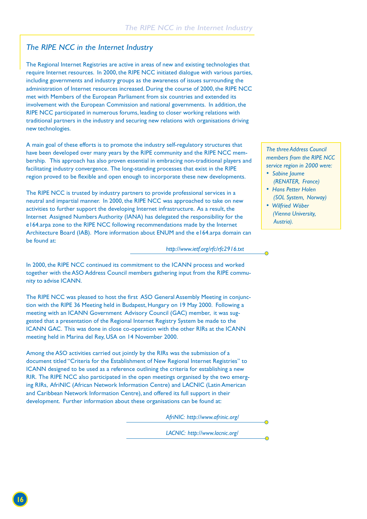#### *The RIPE NCC in the Internet Industry*

The Regional Internet Registries are active in areas of new and existing technologies that require Internet resources. In 2000, the RIPE NCC initiated dialogue with various parties, including governments and industry groups as the awareness of issues surrounding the administration of Internet resources increased. During the course of 2000, the RIPE NCC met with Members of the European Parliament from six countries and extended its involvement with the European Commission and national governments. In addition, the RIPE NCC participated in numerous forums, leading to closer working relations with traditional partners in the industry and securing new relations with organisations driving new technologies.

A main goal of these efforts is to promote the industry self-regulatory structures that have been developed over many years by the RIPE community and the RIPE NCC membership. This approach has also proven essential in embracing non-traditional players and facilitating industry convergence. The long-standing processes that exist in the RIPE region proved to be flexible and open enough to incorporate these new developments.

The RIPE NCC is trusted by industry partners to provide professional services in a neutral and impartial manner. In 2000, the RIPE NCC was approached to take on new activities to further support the developing Internet infrastructure. As a result, the Internet Assigned Numbers Authority (IANA) has delegated the responsibility for the e164.arpa zone to the RIPE NCC following recommendations made by the Internet Architecture Board (IAB). More information about ENUM and the e164.arpa domain can be found at:

*http://www.ietf.org/rfc/rfc2916.txt*

In 2000, the RIPE NCC continued its commitment to the ICANN process and worked together with the ASO Address Council members gathering input from the RIPE community to advise ICANN.

The RIPE NCC was pleased to host the first ASO General Assembly Meeting in conjunction with the RIPE 36 Meeting held in Budapest, Hungary on 19 May 2000. Following a meeting with an ICANN Government Advisory Council (GAC) member, it was suggested that a presentation of the Regional Internet Registry System be made to the ICANN GAC. This was done in close co-operation with the other RIRs at the ICANN meeting held in Marina del Rey, USA on 14 November 2000.

Among the ASO activities carried out jointly by the RIRs was the submission of a document titled "Criteria for the Establishment of New Regional Internet Registries" to ICANN designed to be used as a reference outlining the criteria for establishing a new RIR. The RIPE NCC also participated in the open meetings organised by the two emerging RIRs, AfriNIC (African Network Information Centre) and LACNIC (Latin American and Caribbean Network Information Centre), and offered its full support in their development. Further information about these organisations can be found at:

*AfriNIC: http://www.afrinic.org/*

*LACNIC: http://www.lacnic.org/*

*The three Address Council members from the RIPE NCC service region in 2000 were:*

- *Sabine Jaume (RENATER, France)*
- *Hans Petter Holen (SOL System, Norway)*
- *Wilfried Wöber (Vienna University, Austria).*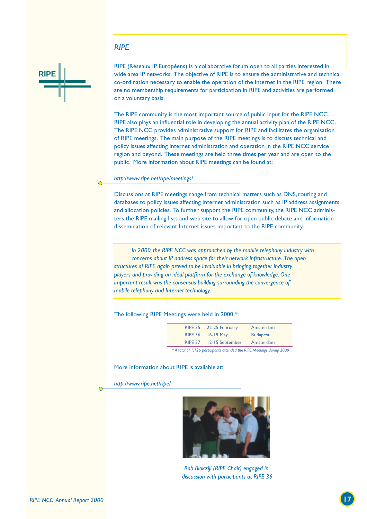#### *RIPE*



RIPE (Réseaux IP Européens) is a collaborative forum open to all parties interested in wide area IP networks. The objective of RIPE is to ensure the administrative and technical co-ordination necessary to enable the operation of the Internet in the RIPE region. There are no membership requirements for participation in RIPE and activities are performed on a voluntary basis.

The RIPE community is the most important source of public input for the RIPE NCC. RIPE also plays an influential role in developing the annual activity plan of the RIPE NCC. The RIPE NCC provides administrative support for RIPE and facilitates the organisation of RIPE meetings. The main purpose of the RIPE meetings is to discuss technical and policy issues affecting Internet administration and operation in the RIPE NCC service region and beyond. These meetings are held three times per year and are open to the public. More information about RIPE meetings can be found at:

#### *http://www.ripe.net/ripe/meetings/*

Discussions at RIPE meetings range from technical matters such as DNS, routing and databases to policy issues affecting Internet administration such as IP address assignments and allocation policies. To further support the RIPE community, the RIPE NCC administers the RIPE mailing lists and web site to allow for open public debate and information dissemination of relevant Internet issues important to the RIPE community.

*In 2000, the RIPE NCC was approached by the mobile telephony industry with concerns about IP address space for their network infrastructure. The open structures of RIPE again proved to be invaluable in bringing together industry players and providing an ideal platform for the exchange of knowledge. One important result was the consensus building surrounding the convergence of mobile telephony and Internet technology.*

The following RIPE Meetings were held in 2000 \*:

| RIPE 36 16-19 May<br><b>Budapest</b><br>RIPE 37 12-15 September<br>Amsterdam | RIPE 35 22-25 February | Amsterdam |
|------------------------------------------------------------------------------|------------------------|-----------|
|                                                                              |                        |           |
|                                                                              |                        |           |

*\* A total of 1,126 participants attended the RIPE Meetings during 2000*

#### More information about RIPE is available at:

*http://www.ripe.net/ripe/*



*Rob Blokzijl (RIPE Chair) engaged in discussion with participants at RIPE 36*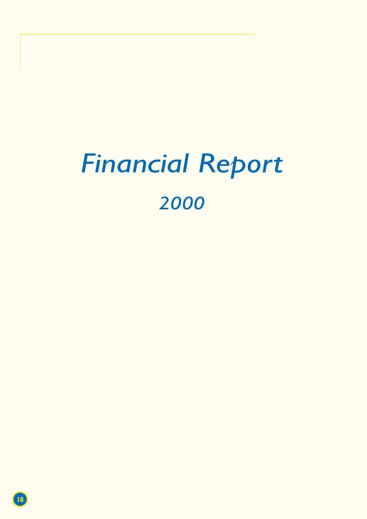# *Financial Report*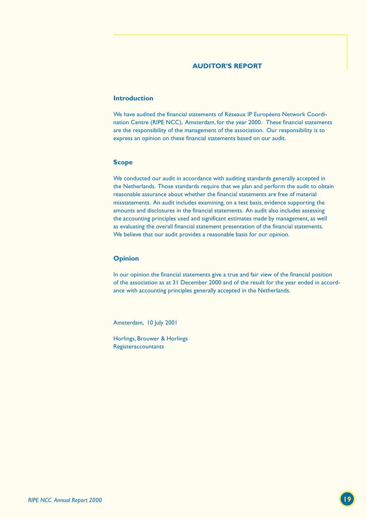#### **AUDITOR'S REPORT**

#### **Introduction**

We have audited the financial statements of Réseaux IP Européens Network Coordination Centre (RIPE NCC), Amsterdam, for the year 2000. These financial statements are the responsibility of the management of the association. Our responsibility is to express an opinion on these financial statements based on our audit.

#### **Scope**

We conducted our audit in accordance with auditing standards generally accepted in the Netherlands. Those standards require that we plan and perform the audit to obtain reasonable assurance about whether the financial statements are free of material misstatements. An audit includes examining, on a test basis, evidence supporting the amounts and disclosures in the financial statements. An audit also includes assessing the accounting principles used and significant estimates made by management, as well as evaluating the overall financial statement presentation of the financial statements. We believe that our audit provides a reasonable basis for our opinion.

#### **Opinion**

In our opinion the financial statements give a true and fair view of the financial position of the association as at 31 December 2000 and of the result for the year ended in accordance with accounting principles generally accepted in the Netherlands.

Amsterdam, 10 July 2001

Horlings, Brouwer & Horlings **Registeraccountants**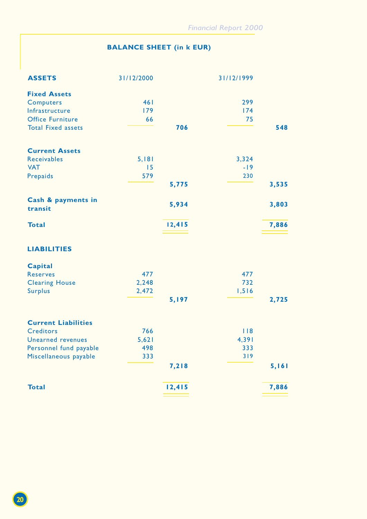## **BALANCE SHEET (in k EUR)**

| <b>ASSETS</b>                 | 31/12/2000 |        | 31/12/1999 |       |
|-------------------------------|------------|--------|------------|-------|
| <b>Fixed Assets</b>           |            |        |            |       |
| <b>Computers</b>              | 461        |        | 299        |       |
| Infrastructure                | 179        |        | 174        |       |
| <b>Office Furniture</b>       | 66         |        | 75         |       |
| <b>Total Fixed assets</b>     |            | 706    |            | 548   |
| <b>Current Assets</b>         |            |        |            |       |
| <b>Receivables</b>            | 5,181      |        | 3,324      |       |
| <b>VAT</b>                    | 15         |        | $-19$      |       |
| Prepaids                      | 579        |        | 230        |       |
|                               |            | 5,775  |            | 3,535 |
| Cash & payments in<br>transit |            | 5,934  |            | 3,803 |
| <b>Total</b>                  |            | 12,415 |            | 7,886 |
| <b>LIABILITIES</b>            |            |        |            |       |
| <b>Capital</b>                |            |        |            |       |
| <b>Reserves</b>               | 477        |        | 477        |       |
| <b>Clearing House</b>         | 2,248      |        | 732        |       |
| <b>Surplus</b>                | 2,472      |        | 1,516      |       |
|                               |            | 5,197  |            | 2,725 |
| <b>Current Liabilities</b>    |            |        |            |       |
| <b>Creditors</b>              | 766        |        | 118        |       |
| Unearned revenues             | 5,621      |        | 4,391      |       |
| Personnel fund payable        | 498        |        | 333        |       |
| Miscellaneous payable         | 333        |        | 319        |       |
|                               |            | 7,218  |            | 5,161 |
| <b>Total</b>                  |            | 12,415 |            | 7,886 |
|                               |            |        |            |       |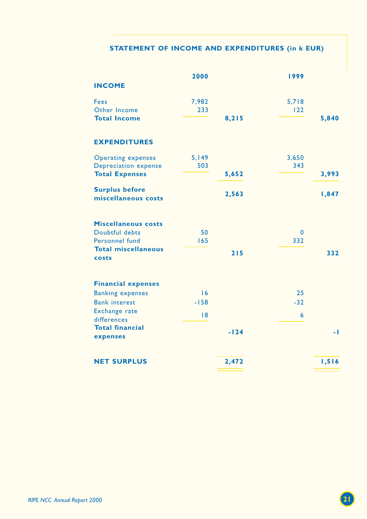### **STATEMENT OF INCOME AND EXPENDITURES (in k EUR)**

|                                     | 2000      |        | 1999               |       |
|-------------------------------------|-----------|--------|--------------------|-------|
| <b>INCOME</b>                       |           |        |                    |       |
| <b>Fees</b>                         | 7,982     |        | 5,718              |       |
| Other Income                        | 233       |        | 122                |       |
| <b>Total Income</b>                 |           | 8,215  |                    | 5,840 |
| <b>EXPENDITURES</b>                 |           |        |                    |       |
| <b>Operating expenses</b>           | 5,149     |        | 3,650              |       |
| <b>Depreciation expense</b>         | 503       |        | 343                |       |
| <b>Total Expenses</b>               |           | 5,652  |                    | 3,993 |
| <b>Surplus before</b>               |           | 2,563  |                    | 1,847 |
| miscellaneous costs                 |           |        |                    |       |
|                                     |           |        |                    |       |
| <b>Miscellaneous costs</b>          |           |        |                    |       |
| Doubtful debts<br>Personnel fund    | 50<br>165 |        | $\mathbf 0$<br>332 |       |
| <b>Total miscellaneous</b>          |           |        |                    |       |
| costs                               |           | 215    |                    | 332   |
|                                     |           |        |                    |       |
| <b>Financial expenses</b>           |           |        |                    |       |
| <b>Banking expenses</b>             | 16        |        | 25                 |       |
| <b>Bank interest</b>                | $-158$    |        | $-32$              |       |
| <b>Exchange rate</b><br>differences | 8         |        | $6\phantom{a}$     |       |
| <b>Total financial</b>              |           |        |                    |       |
| expenses                            |           | $-124$ |                    | - 1   |
|                                     |           |        |                    |       |
| <b>NET SURPLUS</b>                  |           | 2,472  |                    | 1,516 |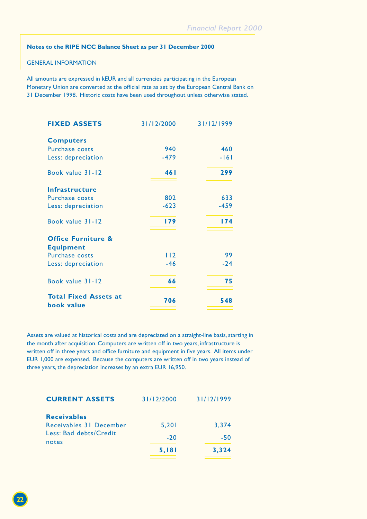#### **Notes to the RIPE NCC Balance Sheet as per 31 December 2000**

#### GENERAL INFORMATION

All amounts are expressed in kEUR and all currencies participating in the European Monetary Union are converted at the official rate as set by the European Central Bank on 31 December 1998. Historic costs have been used throughout unless otherwise stated.

| <b>FIXED ASSETS</b>                        | 31/12/2000 | 31/12/1999 |
|--------------------------------------------|------------|------------|
| <b>Computers</b>                           |            |            |
| <b>Purchase costs</b>                      | 940        | 460        |
| Less: depreciation                         | $-479$     | $-161$     |
| Book value 31-12                           | 461        | 299        |
| Infrastructure                             |            |            |
| Purchase costs                             | 802        | 633        |
| Less: depreciation                         | $-623$     | $-459$     |
| Book value 31-12                           | 179        | 174        |
| <b>Office Furniture &amp;</b>              |            |            |
| <b>Equipment</b>                           |            |            |
| <b>Purchase costs</b>                      | 112        | 99         |
| Less: depreciation                         | $-46$      | $-24$      |
| Book value 31-12                           | 66         | 75         |
| <b>Total Fixed Assets at</b><br>book value | 706        | 548        |

Assets are valued at historical costs and are depreciated on a straight-line basis, starting in the month after acquisition. Computers are written off in two years, infrastructure is written off in three years and office furniture and equipment in five years. All items under EUR 1,000 are expensed. Because the computers are written off in two years instead of three years, the depreciation increases by an extra EUR 16,950.

| <b>CURRENT ASSETS</b>                         | 31/12/2000 | 31/12/1999 |
|-----------------------------------------------|------------|------------|
| <b>Receivables</b><br>Receivables 31 December | 5,201      | 3.374      |
| Less: Bad debts/Credit<br>notes               | $-20$      | $-50$      |
|                                               | 5,181      | 3,324      |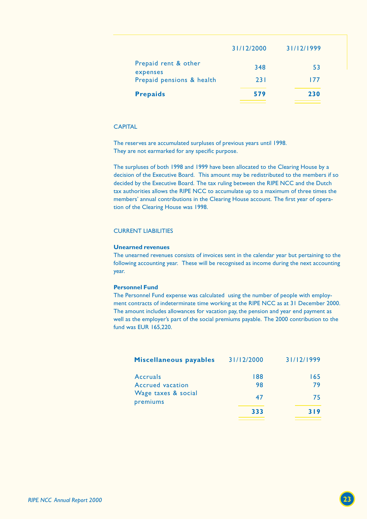| <b>Prepaids</b>                  | 579        | 230        |
|----------------------------------|------------|------------|
| Prepaid pensions & health        | 23 I       | 177        |
| Prepaid rent & other<br>expenses | 348        | 53         |
|                                  | 31/12/2000 | 31/12/1999 |

#### **CAPITAL**

The reserves are accumulated surpluses of previous years until 1998. They are not earmarked for any specific purpose.

The surpluses of both 1998 and 1999 have been allocated to the Clearing House by a decision of the Executive Board. This amount may be redistributed to the members if so decided by the Executive Board. The tax ruling between the RIPE NCC and the Dutch tax authorities allows the RIPE NCC to accumulate up to a maximum of three times the members' annual contributions in the Clearing House account. The first year of operation of the Clearing House was 1998.

#### CURRENT LIABILITIES

#### **Unearned revenues**

The unearned revenues consists of invoices sent in the calendar year but pertaining to the following accounting year. These will be recognised as income during the next accounting year.

#### **Personnel Fund**

The Personnel Fund expense was calculated using the number of people with employment contracts of indeterminate time working at the RIPE NCC as at 31 December 2000. The amount includes allowances for vacation pay, the pension and year end payment as well as the employer's part of the social premiums payable. The 2000 contribution to the fund was EUR 165,220.

| Miscellaneous payables          | 31/12/2000 | 31/12/1999 |
|---------------------------------|------------|------------|
| Accruals<br>Accrued vacation    | 188<br>98  | 165<br>79  |
| Wage taxes & social<br>premiums | 47         | 75         |
|                                 | 333        | 319        |